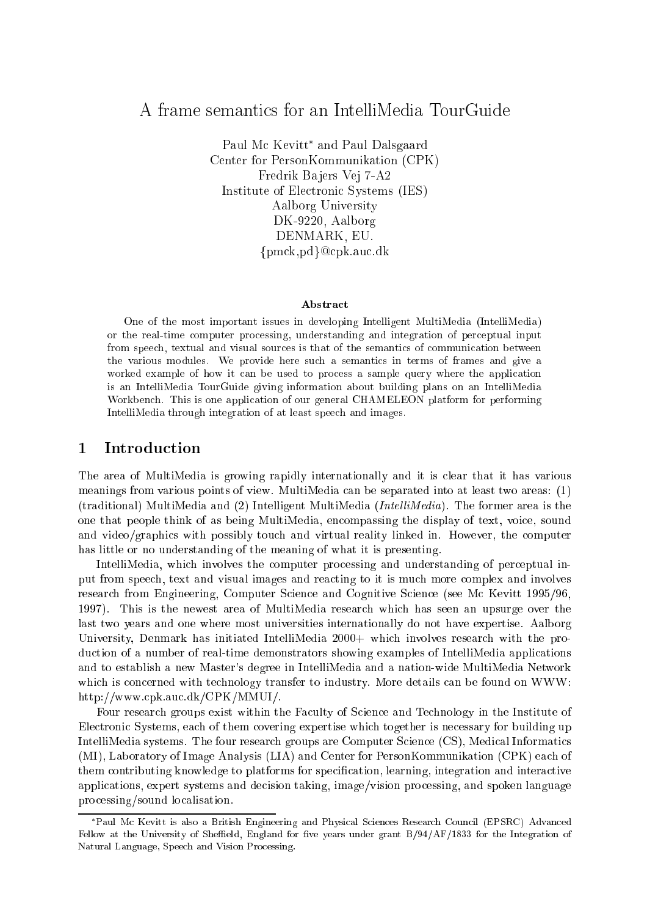## A frame semantics for an IntelliMedia TourGuide

Paul Mc Kevitt and Paul Dalsgaard Center for PersonKommunikation (CPK) Fredrik Ba jers Vej 7-A2 Institute of Electronic Systems (IES) Aalborg University DK-9220, Aalborg DENMARK, EU.  ${pmck,pd}$ @cpk.auc.dk

### Abstract

One of the most important issues in developing Intelligent MultiMedia (IntelliMedia) or the real-time computer processing, understanding and integration of perceptual input from speech, textual and visual sources is that of the semantics of communication between the various modules. We provide here such a semantics in terms of frames and give a worked example of how it can be used to process a sample query where the application is an IntelliMedia TourGuide giving information about building plans on an IntelliMedia Workbench. This is one application of our general CHAMELEON platform for performing IntelliMedia through integration of at least speech and images.

### 1 Introduction

The area of MultiMedia is growing rapidly internationally and it is clear that it has various meanings from various points of view. MultiMedia can be separated into at least two areas: (1) (traditional) MultiMedia and  $(2)$  Intelligent MultiMedia (*IntelliMedia*). The former area is the one that people think of as being MultiMedia, encompassing the display of text, voice, sound and video/graphics with possibly touch and virtual reality linked in. However, the computer has little or no understanding of the meaning of what it is presenting.

IntelliMedia, which involves the computer processing and understanding of perceptual input from speech, text and visual images and reacting to it is much more complex and involves research from Engineering, Computer Science and Cognitive Science (see Mc Kevitt 1995/96, 1997). This is the newest area of MultiMedia research which has seen an upsurge over the last two years and one where most universities internationally do not have expertise. Aalborg University, Denmark has initiated IntelliMedia 2000+ which involves research with the production of a number of real-time demonstrators showing examples of IntelliMedia applications and to establish a new Master's degree in IntelliMedia and a nation-wide MultiMedia Network which is concerned with technology transfer to industry. More details can be found on WWW: http://www.cpk.auc.dk/CPK/MMUI/.

Four research groups exist within the Faculty of Science and Technology in the Institute of Electronic Systems, each of them covering expertise which together is necessary for building up IntelliMedia systems. The four research groups are Computer Science (CS), Medical Informatics (MI), Laboratory of Image Analysis (LIA) and Center for PersonKommunikation (CPK) each of them contributing knowledge to platforms for specication, learning, integration and interactive applications, expert systems and decision taking, image/vision processing, and spoken language processing/sound localisation.

Paul Mc Kevitt is also a British Engineering and Physical Sciences Research Council (EPSRC) Advanced Fellow at the University of Sheffield, England for five years under grant B/94/AF/1833 for the Integration of Natural Language, Speech and Vision Processing.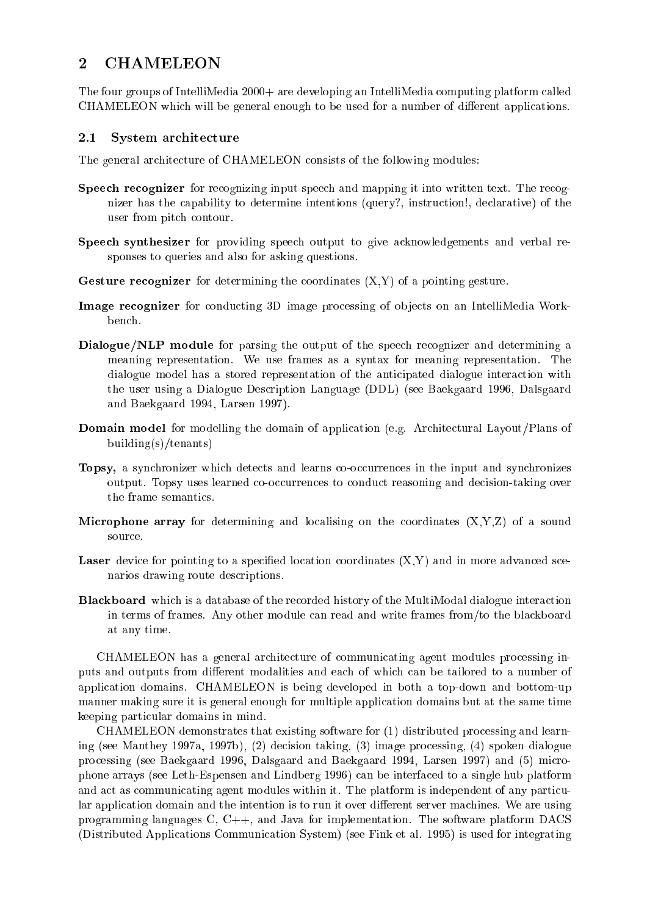### **CHAMELEON**  $\overline{2}$

The four groups of IntelliMedia 2000+ are developing an IntelliMedia computing platform called CHAMELEON which will be general enough to be used for a number of different applications.

#### 2.1System architecture

The general architecture of CHAMELEON consists of the following modules:

- Speech recognizer for recognizing input speech and mapping it into written text. The recognizer has the capability to determine intentions (query?, instruction!, declarative) of the user from pitch contour.
- Speech synthesizer for providing speech output to give acknowledgements and verbal responses to queries and also for asking questions.
- Gesture recognizer for determining the coordinates (X,Y) of a pointing gesture.
- Image recognizer for conducting 3D image processing of ob jects on an IntelliMedia Workbench.
- Dialogue/NLP module for parsing the output of the speech recognizer and determining a meaning representation. We use frames as a syntax for meaning representation. The dialogue model has a stored representation of the anticipated dialogue interaction with the user using a Dialogue Description Language (DDL) (see Baekgaard 1996, Dalsgaard and Baekgaard 1994, Larsen 1997).
- Domain model for modelling the domain of application (e.g. Architectural Layout/Plans of building(s)/tenants)
- Topsy, a synchronizer which detects and learns co-occurrences in the input and synchronizes output. Topsy uses learned co-occurrences to conduct reasoning and decision-taking over the frame semantics.
- Microphone array for determining and localising on the coordinates (X,Y,Z) of a sound source.
- Laser device for pointing to a specied location coordinates (X,Y) and in more advanced scenarios drawing route descriptions.
- Blackboard which is a database of the recorded history of the MultiModal dialogue interaction in terms of frames. Any other module can read and write frames from/to the blackboard at any time.

CHAMELEON has a general architecture of communicating agent modules processing inputs and outputs from different modalities and each of which can be tailored to a number of application domains. CHAMELEON is being developed in both a top-down and bottom-up manner making sure it is general enough for multiple application domains but at the same time keeping particular domains in mind.

CHAMELEON demonstrates that existing software for (1) distributed processing and learning (see Manthey 1997a, 1997b), (2) decision taking, (3) image processing, (4) spoken dialogue processing (see Baekgaard 1996, Dalsgaard and Baekgaard 1994, Larsen 1997) and (5) microphone arrays (see Leth-Espensen and Lindberg 1996) can be interfaced to a single hub platform and act as communicating agent modules within it. The platform is independent of any particular application domain and the intention is to run it over different server machines. We are using programming languages C, C++, and Java for implementation. The software platform DACS (Distributed Applications Communication System) (see Fink et al. 1995) is used for integrating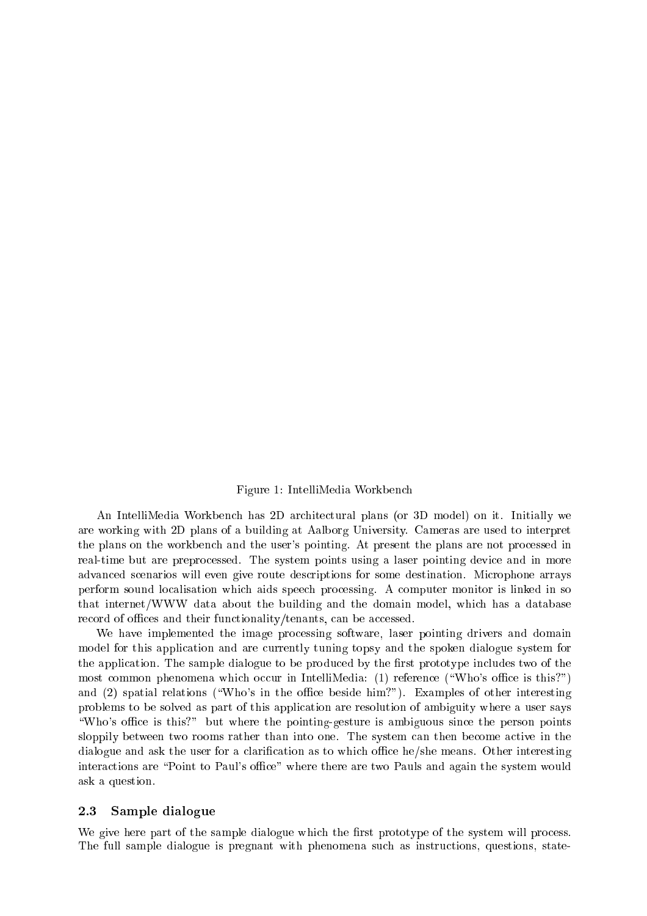### Figure 1: IntelliMedia Workbench

An IntelliMedia Workbench has 2D architectural plans (or 3D model) on it. Initially we are working with 2D plans of a building at Aalborg University. Cameras are used to interpret the plans on the workbench and the user's pointing. At present the plans are not processed in real-time but are preprocessed. The system points using a laser pointing device and in more advanced scenarios will even give route descriptions for some destination. Microphone arrays perform sound localisation which aids speech processing. A computer monitor is linked in so that internet/WWW data about the building and the domain model, which has a database record of offices and their functionality/tenants, can be accessed.

We have implemented the image processing software, laser pointing drivers and domain model for this application and are currently tuning topsy and the spoken dialogue system for the application. The sample dialogue to be produced by the first prototype includes two of the most common phenomena which occur in IntelliMedia: (1) reference ("Who's office is this?") and  $(2)$  spatial relations ("Who's in the office beside him?"). Examples of other interesting problems to be solved as part of this application are resolution of ambiguity where a user says "Who's office is this?" but where the pointing-gesture is ambiguous since the person points sloppily between two rooms rather than into one. The system can then become active in the dialogue and ask the user for a clarification as to which office he/she means. Other interesting interactions are "Point to Paul's office" where there are two Pauls and again the system would ask a question.

#### 2.3Sample dialogue

We give here part of the sample dialogue which the first prototype of the system will process. The full sample dialogue is pregnant with phenomena such as instructions, questions, state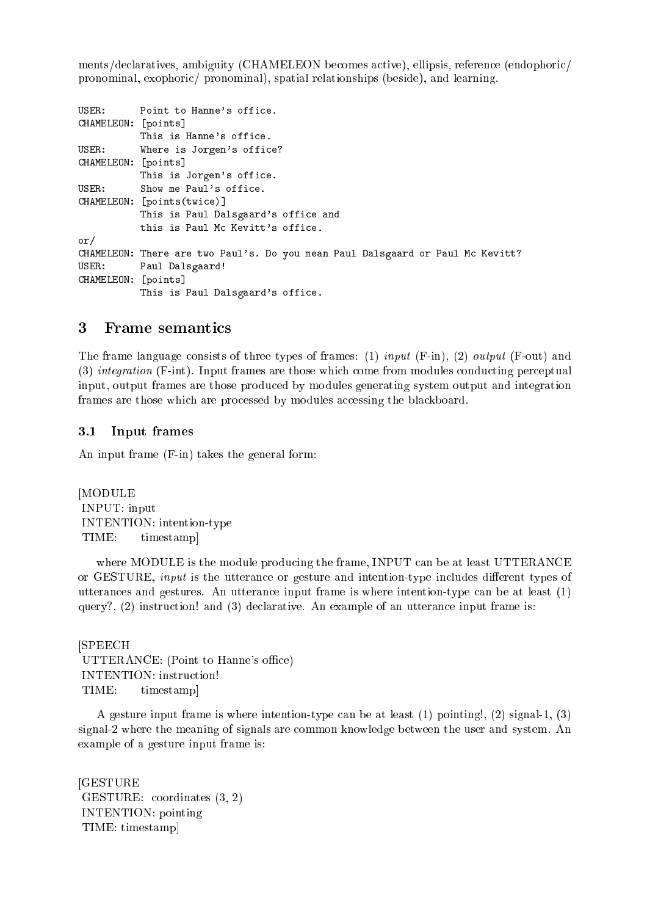ments/declaratives, ambiguity (CHAMELEON becomes active), ellipsis, reference (endophoric/ pronominal, exophoric/ pronominal), spatial relationships (beside), and learning.

```
USER: Point to Hanne's office.
CHAMELEON: [points]
          This is Hanne's office.
USER: Where is Jorgen's office?
CHAMELEON: [points]
          This is Jorgen's office.
USER: Show me Paul's office.
CHAMELEON: [points(twice)]
          This is Paul Dalsgaard's office and
          this is Paul Mc Kevitt's office.
- \cdotCHAMELEON: There are two Paul's. Do you mean Paul Dalsgaard or Paul Mc Kevitt?
USER: Paul Dalsgaard!
CHAMELEON: [points]
          This is Paul Dalsgaard's office.
```
#### 3 Frame semantics

The frame language consists of three types of frames: (1) input (F-in), (2) output (F-out) and (3) integration (F-int). Input frames are those which come from modules conducting perceptual input, output frames are those produced by modules generating system output and integration frames are those which are processed by modules accessing the blackboard.

#### $3.1$ Input frames

An input frame (F-in) takes the general form:

[MODULE INPUT: input INTENTION: intention-type TIME: timestamp]

where MODULE is the module producing the frame, INPUT can be at least UTTERANCE or GESTURE, *input* is the utterance or gesture and intention-type includes different types of utterances and gestures. An utterance input frame is where intention-type can be at least (1) query?,  $(2)$  instruction! and  $(3)$  declarative. An example of an utterance input frame is:

[SPEECH UTTERANCE: (Point to Hanne's office) INTENTION: instruction! TIME: timestamp]

A gesture input frame is where intention-type can be at least (1) pointing!, (2) signal-1, (3) signal-2 where the meaning of signals are common knowledge between the user and system. An example of a gesture input frame is:

[GESTURE GESTURE: coordinates (3, 2) INTENTION: pointing TIME: timestamp]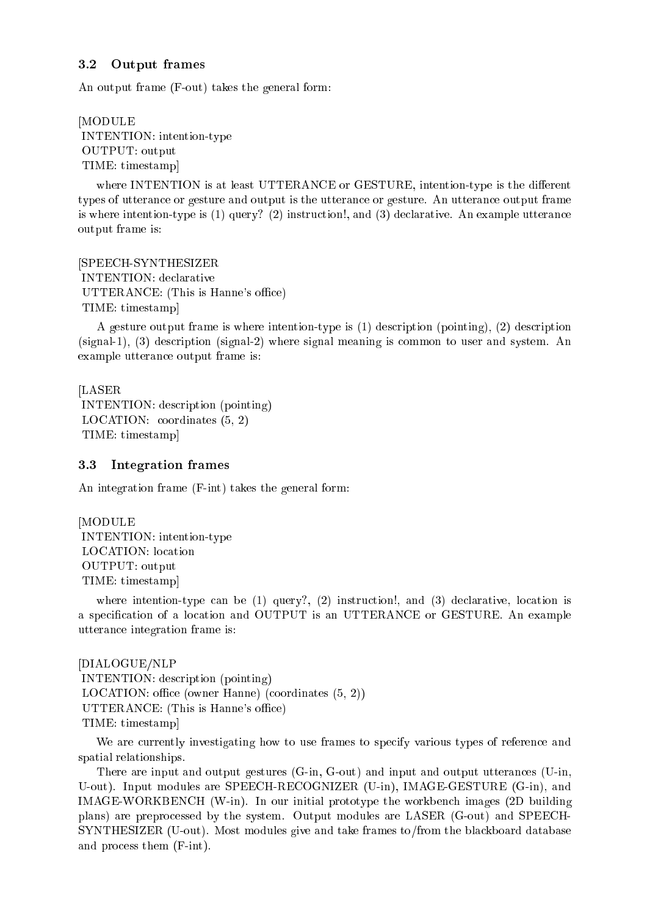#### 3.2 Output frames

An output frame (F-out) takes the general form:

[MODULE INTENTION: intention-type OUTPUT: output TIME: timestamp]

where INTENTION is at least UTTERANCE or GESTURE, intention-type is the different types of utterance or gesture and output is the utterance or gesture. An utterance output frame is where intention-type is (1) query? (2) instruction!, and (3) declarative. An example utterance output frame is:

[SPEECH-SYNTHESIZER INTENTION: declarative UTTERANCE: (This is Hanne's office) TIME: timestamp]

A gesture output frame is where intention-type is (1) description (pointing), (2) description (signal-1), (3) description (signal-2) where signal meaning is common to user and system. An example utterance output frame is:

[LASER INTENTION: description (pointing) LOCATION: coordinates (5, 2) TIME: timestamp]

#### 3.3Integration frames

An integration frame (F-int) takes the general form:

[MODULE INTENTION: intention-type LOCATION: location OUTPUT: output TIME: timestamp]

where intention-type can be  $(1)$  query?,  $(2)$  instruction!, and  $(3)$  declarative, location is a specication of a location and OUTPUT is an UTTERANCE or GESTURE. An example utterance integration frame is:

[DIALOGUE/NLP INTENTION: description (pointing) LOCATION: office (owner Hanne) (coordinates  $(5, 2)$ ) UTTERANCE: (This is Hanne's office) TIME: timestamp]

We are currently investigating how to use frames to specify various types of reference and spatial relationships.

There are input and output gestures (G-in, G-out) and input and output utterances (U-in, U-out). Input modules are SPEECH-RECOGNIZER (U-in), IMAGE-GESTURE (G-in), and IMAGE-WORKBENCH (W-in). In our initial prototype the workbench images (2D building plans) are preprocessed by the system. Output modules are LASER (G-out) and SPEECH-SYNTHESIZER (U-out). Most modules give and take frames to/from the blackboard database and process them (F-int).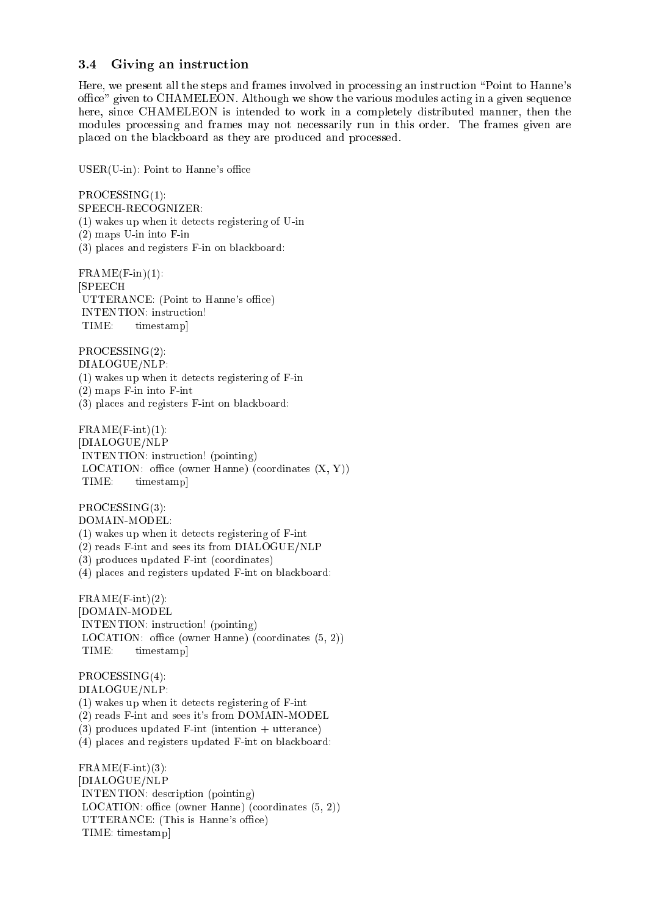#### 3.4 Giving an instruction

Here, we present all the steps and frames involved in processing an instruction \Point to Hanne's office" given to CHAMELEON. Although we show the various modules acting in a given sequence here, since CHAMELEON is intended to work in a completely distributed manner, then the modules processing and frames may not necessarily run in this order. The frames given are placed on the blackboard as they are produced and processed.

 $USER(U-in): Point to Hanne's office$ 

PROCESSING(1):

- SPEECH-RECOGNIZER:
- (1) wakes up when it detects registering of U-in
- (2) maps U-in into F-in
- (3) places and registers F-in on blackboard:

 $FRAME(F-in)(1)$ : [SPEECH UTTERANCE: (Point to Hanne's office) INTENTION: instruction! TIME: timestamp]

PROCESSING(2): DIALOGUE/NLP:  $(1)$  wakes up when it detects registering of F-in

(2) maps F-in into F-int

(3) places and registers F-int on blackboard:

 $FRAME(F-int)(1):$ [DIALOGUE/NLP INTENTION: instruction! (pointing) LOCATION: office (owner Hanne) (coordinates  $(X, Y)$ ) TIME: timestamp]

PROCESSING(3): DOMAIN-MODEL:

(1) wakes up when it detects registering of F-int

(2) reads F-int and sees its from DIALOGUE/NLP

(3) produces updated F-int (coordinates)

(4) places and registers updated F-int on blackboard:

 $FRAME(F-int)(2)$ : [DOMAIN-MODEL INTENTION: instruction! (pointing) LOCATION: office (owner Hanne) (coordinates  $(5, 2)$ ) TIME: timestampl

PROCESSING(4): DIALOGUE/NLP: (1) wakes up when it detects registering of F-int (2) reads F-int and sees it's from DOMAIN-MODEL (3) produces updated F-int (intention + utterance) (4) places and registers updated F-int on blackboard:

 $FRAME(F-int)(3)$ : [DIALOGUE/NLP INTENTION: description (pointing) LOCATION: office (owner Hanne) (coordinates  $(5, 2)$ ) UTTERANCE: (This is Hanne's office) TIME: timestamp]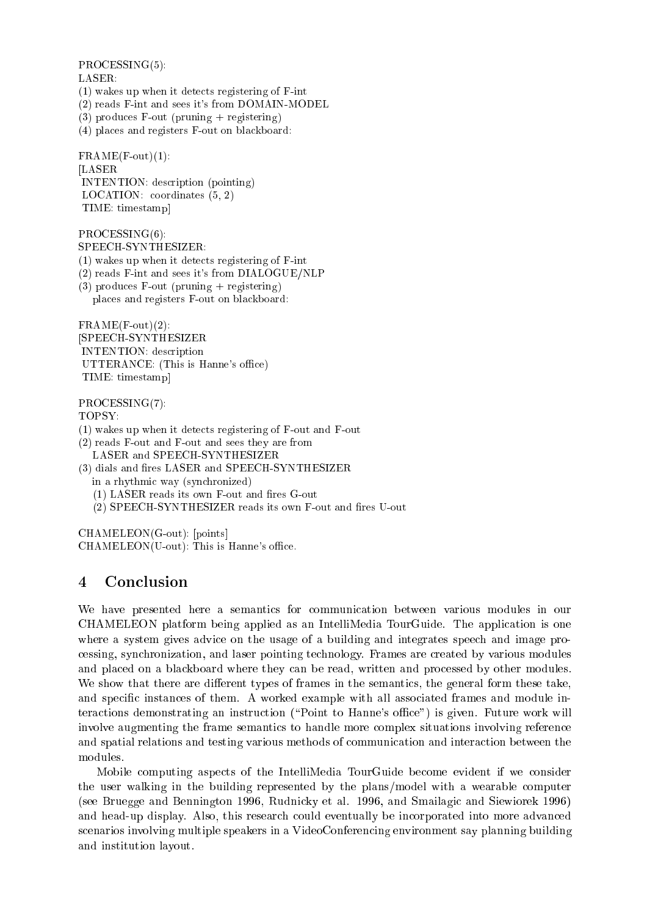PROCESSING(5):

- LASER:
- (1) wakes up when it detects registering of F-int
- (2) reads F-int and sees it's from DOMAIN-MODEL
- (3) produces  $F$ -out (pruning  $+$  registering)
- (4) places and registers F-out on blackboard:

 $FRAME(F-out)(1)$ : [LASER INTENTION: description (pointing) LOCATION: coordinates (5, 2) TIME: timestamp]

PROCESSING(6):

SPEECH-SYNTHESIZER:

- (1) wakes up when it detects registering of F-int
- (2) reads F-int and sees it's from DIALOGUE/NLP
- $(3)$  produces F-out (pruning  $+$  registering) places and registers F-out on blackboard:

 $FRAME(F-out)(2)$ : [SPEECH-SYNTHESIZER INTENTION: description UTTERANCE: (This is Hanne's office) TIME: timestamp]

### PROCESSING(7):

TOPSY:

- (1) wakes up when it detects registering of F-out and F-out
- (2) reads F-out and F-out and sees they are from LASER and SPEECH-SYNTHESIZER
- (3) dials and fires LASER and SPEECH-SYNTHESIZER in a rhythmic way (synchronized)
	- $(1)$  LASER reads its own F-out and fires G-out
	- (2) SPEECH-SYNTHESIZER reads its own F-out and fires U-out

CHAMELEON(G-out): [points]  $CHAMELEON(U-out):$  This is Hanne's office.

# 4 Conclusion

We have presented here a semantics for communication between various modules in our CHAMELEON platform being applied as an IntelliMedia TourGuide. The application is one where a system gives advice on the usage of a building and integrates speech and image processing, synchronization, and laser pointing technology. Frames are created by various modules and placed on a blackboard where they can be read, written and processed by other modules. We show that there are different types of frames in the semantics, the general form these take, and specic instances of them. A worked example with all associated frames and module interactions demonstrating an instruction ("Point to Hanne's office") is given. Future work will involve augmenting the frame semantics to handle more complex situations involving reference and spatial relations and testing various methods of communication and interaction between the

Mobile computing aspects of the IntelliMedia TourGuide become evident if we consider the user walking in the building represented by the plans/model with a wearable computer (see Bruegge and Bennington 1996, Rudnicky et al. 1996, and Smailagic and Siewiorek 1996) and head-up display. Also, this research could eventually be incorporated into more advanced scenarios involving multiple speakers in a VideoConferencing environment say planning building and institution layout.